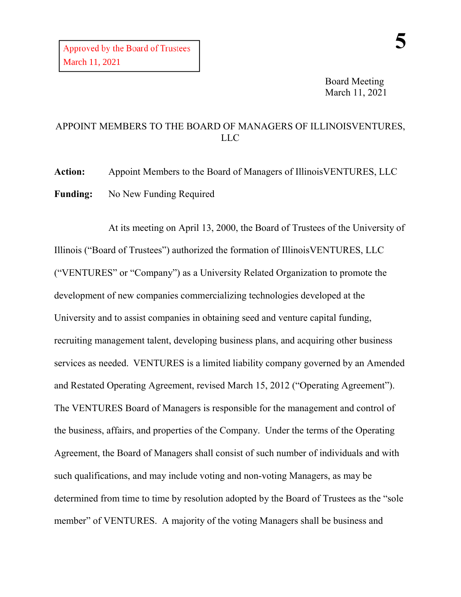Board Meeting March 11, 2021

## APPOINT MEMBERS TO THE BOARD OF MANAGERS OF ILLINOISVENTURES, LLC

**Action:** Appoint Members to the Board of Managers of IllinoisVENTURES, LLC **Funding:** No New Funding Required

At its meeting on April 13, 2000, the Board of Trustees of the University of Illinois ("Board of Trustees") authorized the formation of IllinoisVENTURES, LLC ("VENTURES" or "Company") as a University Related Organization to promote the development of new companies commercializing technologies developed at the University and to assist companies in obtaining seed and venture capital funding, recruiting management talent, developing business plans, and acquiring other business services as needed. VENTURES is a limited liability company governed by an Amended and Restated Operating Agreement, revised March 15, 2012 ("Operating Agreement"). The VENTURES Board of Managers is responsible for the management and control of the business, affairs, and properties of the Company. Under the terms of the Operating Agreement, the Board of Managers shall consist of such number of individuals and with such qualifications, and may include voting and non-voting Managers, as may be determined from time to time by resolution adopted by the Board of Trustees as the "sole member" of VENTURES. A majority of the voting Managers shall be business and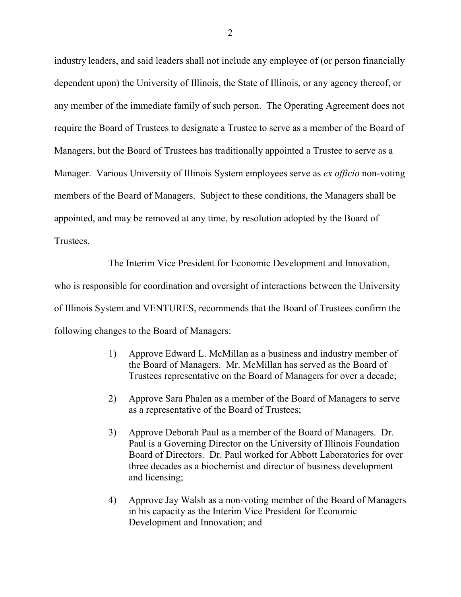industry leaders, and said leaders shall not include any employee of (or person financially dependent upon) the University of Illinois, the State of Illinois, or any agency thereof, or any member of the immediate family of such person. The Operating Agreement does not require the Board of Trustees to designate a Trustee to serve as a member of the Board of Managers, but the Board of Trustees has traditionally appointed a Trustee to serve as a Manager. Various University of Illinois System employees serve as *ex officio* non-voting members of the Board of Managers. Subject to these conditions, the Managers shall be appointed, and may be removed at any time, by resolution adopted by the Board of Trustees.

The Interim Vice President for Economic Development and Innovation,

who is responsible for coordination and oversight of interactions between the University of Illinois System and VENTURES, recommends that the Board of Trustees confirm the following changes to the Board of Managers:

- 1) Approve Edward L. McMillan as a business and industry member of the Board of Managers. Mr. McMillan has served as the Board of Trustees representative on the Board of Managers for over a decade;
- 2) Approve Sara Phalen as a member of the Board of Managers to serve as a representative of the Board of Trustees;
- 3) Approve Deborah Paul as a member of the Board of Managers. Dr. Paul is a Governing Director on the University of Illinois Foundation Board of Directors. Dr. Paul worked for Abbott Laboratories for over three decades as a biochemist and director of business development and licensing;
- 4) Approve Jay Walsh as a non-voting member of the Board of Managers in his capacity as the Interim Vice President for Economic Development and Innovation; and

2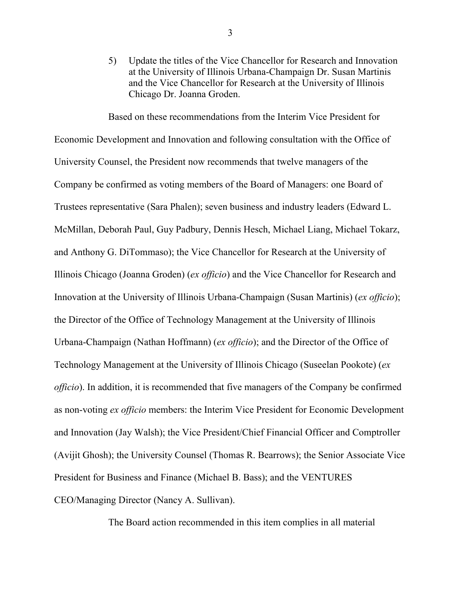5) Update the titles of the Vice Chancellor for Research and Innovation at the University of Illinois Urbana-Champaign Dr. Susan Martinis and the Vice Chancellor for Research at the University of Illinois Chicago Dr. Joanna Groden.

Based on these recommendations from the Interim Vice President for Economic Development and Innovation and following consultation with the Office of University Counsel, the President now recommends that twelve managers of the Company be confirmed as voting members of the Board of Managers: one Board of Trustees representative (Sara Phalen); seven business and industry leaders (Edward L. McMillan, Deborah Paul, Guy Padbury, Dennis Hesch, Michael Liang, Michael Tokarz, and Anthony G. DiTommaso); the Vice Chancellor for Research at the University of Illinois Chicago (Joanna Groden) (*ex officio*) and the Vice Chancellor for Research and Innovation at the University of Illinois Urbana-Champaign (Susan Martinis) (*ex officio*); the Director of the Office of Technology Management at the University of Illinois Urbana-Champaign (Nathan Hoffmann) (*ex officio*); and the Director of the Office of Technology Management at the University of Illinois Chicago (Suseelan Pookote) (*ex officio*). In addition, it is recommended that five managers of the Company be confirmed as non-voting *ex officio* members: the Interim Vice President for Economic Development and Innovation (Jay Walsh); the Vice President/Chief Financial Officer and Comptroller (Avijit Ghosh); the University Counsel (Thomas R. Bearrows); the Senior Associate Vice President for Business and Finance (Michael B. Bass); and the VENTURES CEO/Managing Director (Nancy A. Sullivan).

The Board action recommended in this item complies in all material